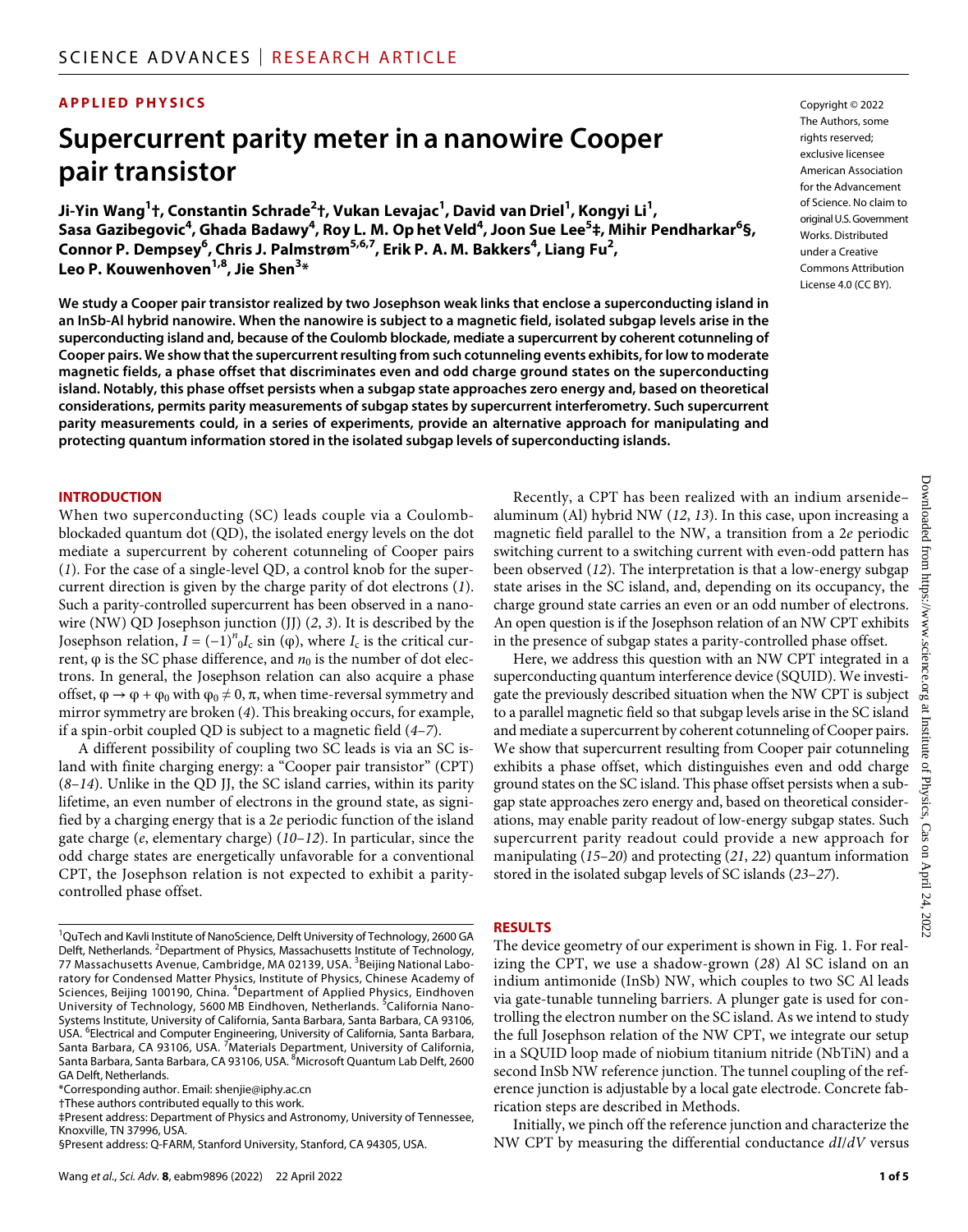### **APPLIED PHYSICS**

# **Supercurrent parity meter in a nanowire Cooper pair transistor**

**Ji-Yin Wang1 †, Constantin Schrade2 †, Vukan Levajac1 , David vanDriel1 , Kongyi Li1 ,**   $S$ asa Gazibegovic<sup>4</sup>, Ghada Badawy<sup>4</sup>, Roy L. M. Op het Veld<sup>4</sup>, Joon Sue Lee<sup>5</sup>‡, Mihir Pendharkar<sup>6</sup>§, **Connor P. Dempsey<sup>6</sup> , Chris J. Palmstrøm5,6,7 , Erik P. A. M. Bakkers4 , Liang Fu2 , Leo P. Kouwenhoven1,8 , Jie Shen3 \***

**We study a Cooper pair transistor realized by two Josephson weak links that enclose a superconducting island in an InSb-Al hybrid nanowire. When the nanowire is subject to a magnetic field, isolated subgap levels arise in the superconducting island and, because of the Coulomb blockade, mediate a supercurrent by coherent cotunneling of Cooper pairs. We show that the supercurrent resulting from such cotunneling events exhibits, for low to moderate magnetic fields, a phase offset that discriminates even and odd charge ground states on the superconducting island. Notably, this phase offset persists when a subgap state approaches zero energy and, based on theoretical considerations, permits parity measurements of subgap states by supercurrent interferometry. Such supercurrent parity measurements could, in a series of experiments, provide an alternative approach for manipulating and protecting quantum information stored in the isolated subgap levels of superconducting islands.**

#### **INTRODUCTION**

When two superconducting (SC) leads couple via a Coulombblockaded quantum dot (QD), the isolated energy levels on the dot mediate a supercurrent by coherent cotunneling of Cooper pairs (*1*). For the case of a single-level QD, a control knob for the supercurrent direction is given by the charge parity of dot electrons (*1*). Such a parity-controlled supercurrent has been observed in a nanowire (NW) QD Josephson junction (JJ) (*2*, *3*). It is described by the Josephson relation,  $I = (-1)^n {}_0I_c$  sin ( $\varphi$ ), where  $I_c$  is the critical current,  $φ$  is the SC phase difference, and  $n<sub>0</sub>$  is the number of dot electrons. In general, the Josephson relation can also acquire a phase offset,  $\varphi \to \varphi + \varphi_0$  with  $\varphi_0 \neq 0$ ,  $\pi$ , when time-reversal symmetry and mirror symmetry are broken (*4*). This breaking occurs, for example, if a spin-orbit coupled QD is subject to a magnetic field (*4*–*7*).

A different possibility of coupling two SC leads is via an SC island with finite charging energy: a "Cooper pair transistor" (CPT) (*8*–*14*). Unlike in the QD JJ, the SC island carries, within its parity lifetime, an even number of electrons in the ground state, as signified by a charging energy that is a 2*e* periodic function of the island gate charge (*e*, elementary charge) (*10*–*12*). In particular, since the odd charge states are energetically unfavorable for a conventional CPT, the Josephson relation is not expected to exhibit a paritycontrolled phase offset.

\*Corresponding author. Email: [shenjie@iphy.ac.cn](mailto:shenjie@iphy.ac.cn)

†These authors contributed equally to this work.

‡Present address: Department of Physics and Astronomy, University of Tennessee, Knoxville, TN 37996, USA.

§Present address: Q-FARM, Stanford University, Stanford, CA 94305, USA.

Copyright © 2022 The Authors, some rights reserved: exclusive licensee American Association for the Advancement of Science. No claim to original U.S.Government Works. Distributed under a Creative Commons Attribution License 4.0 (CC BY).

Recently, a CPT has been realized with an indium arsenide– aluminum (Al) hybrid NW (*12*, *13*). In this case, upon increasing a magnetic field parallel to the NW, a transition from a 2*e* periodic switching current to a switching current with even-odd pattern has been observed (*12*). The interpretation is that a low-energy subgap state arises in the SC island, and, depending on its occupancy, the charge ground state carries an even or an odd number of electrons. An open question is if the Josephson relation of an NW CPT exhibits in the presence of subgap states a parity-controlled phase offset.

Here, we address this question with an NW CPT integrated in a superconducting quantum interference device (SQUID). We investigate the previously described situation when the NW CPT is subject to a parallel magnetic field so that subgap levels arise in the SC island and mediate a supercurrent by coherent cotunneling of Cooper pairs. We show that supercurrent resulting from Cooper pair cotunneling exhibits a phase offset, which distinguishes even and odd charge ground states on the SC island. This phase offset persists when a subgap state approaches zero energy and, based on theoretical considerations, may enable parity readout of low-energy subgap states. Such supercurrent parity readout could provide a new approach for manipulating (*15*–*20*) and protecting (*21*, *22*) quantum information stored in the isolated subgap levels of SC islands (*23*–*27*).

#### **RESULTS**

The device geometry of our experiment is shown in Fig. 1. For realizing the CPT, we use a shadow-grown (*28*) Al SC island on an indium antimonide (InSb) NW, which couples to two SC Al leads via gate-tunable tunneling barriers. A plunger gate is used for controlling the electron number on the SC island. As we intend to study the full Josephson relation of the NW CPT, we integrate our setup in a SQUID loop made of niobium titanium nitride (NbTiN) and a second InSb NW reference junction. The tunnel coupling of the reference junction is adjustable by a local gate electrode. Concrete fabrication steps are described in Methods.

Initially, we pinch off the reference junction and characterize the NW CPT by measuring the differential conductance *dI*/*dV* versus

<sup>&</sup>lt;sup>1</sup>QuTech and Kavli Institute of NanoScience, Delft University of Technology, 2600 GA Delft, Netherlands. <sup>2</sup>Department of Physics, Massachusetts Institute of Technology, 77 Massachusetts Avenue, Cambridge, MA 02139, USA. <sup>3</sup>Beijing National Laboratory for Condensed Matter Physics, Institute of Physics, Chinese Academy of Sciences, Beijing 100190, China. <sup>4</sup>Department of Applied Physics, Eindhoven University of Technology, 5600 MB Eindhoven, Netherlands. <sup>5</sup>California Nano-Systems Institute, University of California, Santa Barbara, Santa Barbara, CA 93106, USA. <sup>6</sup> Electrical and Computer Engineering, University of California, Santa Barbara, Santa Barbara, CA 93106, USA. <sup>7</sup>Materials Department, University of California, Santa Barbara, Santa Barbara, CA 93106, USA. <sup>8</sup>Microsoft Quantum Lab Delft, 2600 GA Delft, Netherlands.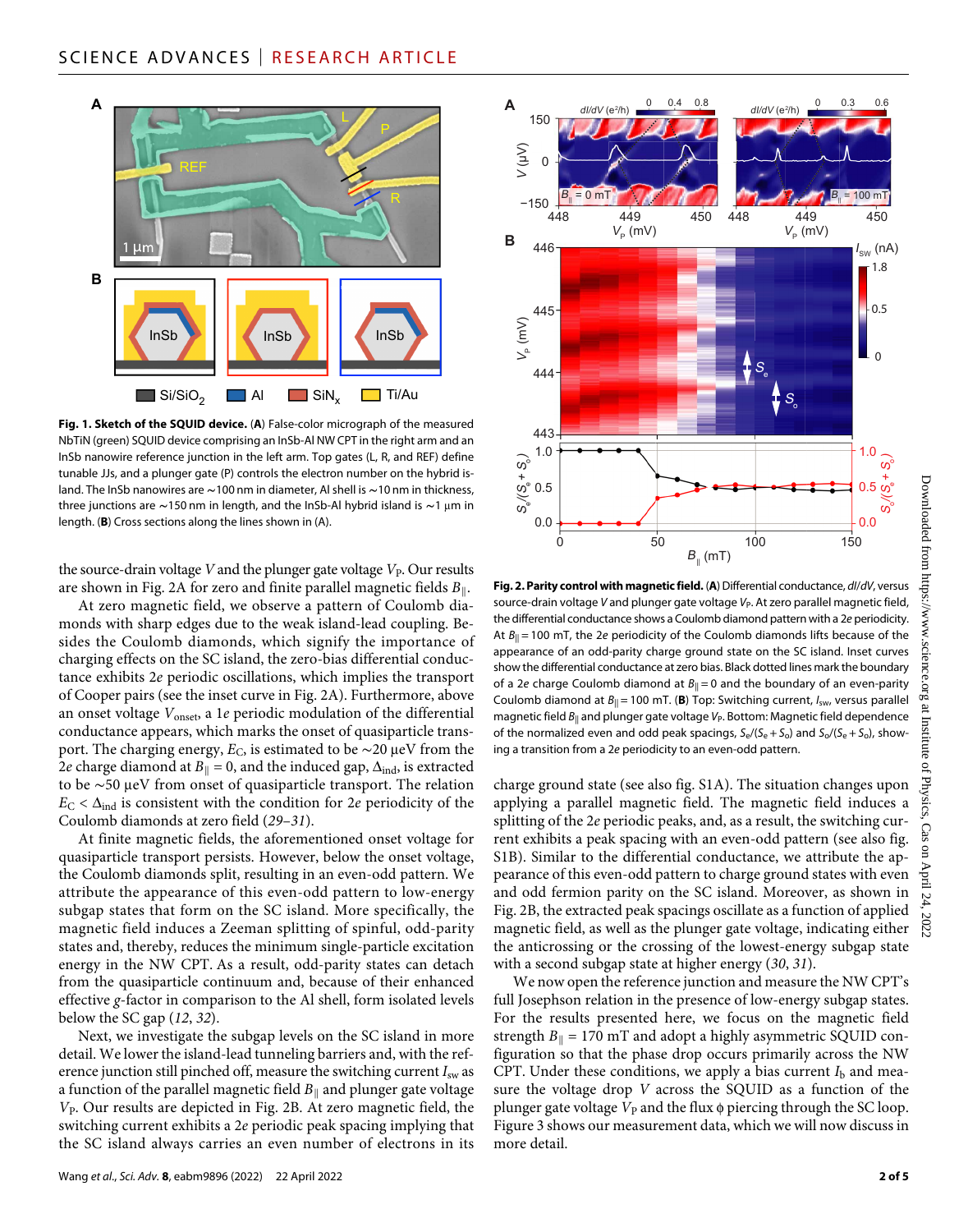

**Fig. 1. Sketch of the SQUID device.** (**A**) False-color micrograph of the measured NbTiN (green) SQUID device comprising an InSb-Al NW CPT in the right arm and an InSb nanowire reference junction in the left arm. Top gates (L, R, and REF) define tunable JJs, and a plunger gate (P) controls the electron number on the hybrid island. The InSb nanowires are **∼**100 nm in diameter, Al shell is **∼**10 nm in thickness, three junctions are ~150 nm in length, and the InSb-Al hybrid island is ~1 μm in length. (**B**) Cross sections along the lines shown in (A).

the source-drain voltage *V* and the plunger gate voltage *V*<sub>P</sub>. Our results are shown in Fig. 2A for zero and finite parallel magnetic fields *B*∥.

At zero magnetic field, we observe a pattern of Coulomb diamonds with sharp edges due to the weak island-lead coupling. Besides the Coulomb diamonds, which signify the importance of charging effects on the SC island, the zero-bias differential conductance exhibits 2*e* periodic oscillations, which implies the transport of Cooper pairs (see the inset curve in Fig. 2A). Furthermore, above an onset voltage  $V_{\text{onset}}$ , a 1*e* periodic modulation of the differential conductance appears, which marks the onset of quasiparticle transport. The charging energy,  $E_C$ , is estimated to be  $\sim$ 20 µeV from the 2*e* charge diamond at  $B_{\parallel} = 0$ , and the induced gap,  $\Delta_{\text{ind}}$ , is extracted to be ~50 μeV from onset of quasiparticle transport. The relation  $E_C < \Delta_{ind}$  is consistent with the condition for 2*e* periodicity of the Coulomb diamonds at zero field (*29*–*31*).

At finite magnetic fields, the aforementioned onset voltage for quasiparticle transport persists. However, below the onset voltage, the Coulomb diamonds split, resulting in an even-odd pattern. We attribute the appearance of this even-odd pattern to low-energy subgap states that form on the SC island. More specifically, the magnetic field induces a Zeeman splitting of spinful, odd-parity states and, thereby, reduces the minimum single-particle excitation energy in the NW CPT. As a result, odd-parity states can detach from the quasiparticle continuum and, because of their enhanced effective *g*-factor in comparison to the Al shell, form isolated levels below the SC gap (*12*, *32*).

Next, we investigate the subgap levels on the SC island in more detail. We lower the island-lead tunneling barriers and, with the reference junction still pinched off, measure the switching current  $I_{sw}$  as a function of the parallel magnetic field *B*∥ and plunger gate voltage *V*P. Our results are depicted in Fig. 2B. At zero magnetic field, the switching current exhibits a 2*e* periodic peak spacing implying that the SC island always carries an even number of electrons in its



**Fig. 2. Parity control with magnetic field.** (**A**) Differential conductance, *dI*/*dV*, versus source-drain voltage *V* and plunger gate voltage *V*<sub>P</sub>. At zero parallel magnetic field, the differential conductance shows a Coulomb diamond pattern with a 2*e* periodicity. At *B*|| = 100 mT, the 2*e* periodicity of the Coulomb diamonds lifts because of the appearance of an odd-parity charge ground state on the SC island. Inset curves show the differential conductance at zero bias. Black dotted lines mark the boundary of a 2*e* charge Coulomb diamond at  $B_{\parallel} = 0$  and the boundary of an even-parity Coulomb diamond at  $B_{\parallel}$  = 100 mT. (**B**) Top: Switching current,  $I_{sw}$ , versus parallel magnetic field  $B_{\parallel}$  and plunger gate voltage  $V_P$ . Bottom: Magnetic field dependence of the normalized even and odd peak spacings,  $S_e/(S_e + S_o)$  and  $S_o/(S_e + S_o)$ , showing a transition from a 2*e* periodicity to an even-odd pattern.

charge ground state (see also fig. S1A). The situation changes upon applying a parallel magnetic field. The magnetic field induces a splitting of the 2*e* periodic peaks, and, as a result, the switching current exhibits a peak spacing with an even-odd pattern (see also fig. S1B). Similar to the differential conductance, we attribute the appearance of this even-odd pattern to charge ground states with even and odd fermion parity on the SC island. Moreover, as shown in Fig. 2B, the extracted peak spacings oscillate as a function of applied magnetic field, as well as the plunger gate voltage, indicating either the anticrossing or the crossing of the lowest-energy subgap state with a second subgap state at higher energy (*30*, *31*).

We now open the reference junction and measure the NW CPT's full Josephson relation in the presence of low-energy subgap states. For the results presented here, we focus on the magnetic field strength  $B_{\parallel}$  = 170 mT and adopt a highly asymmetric SQUID configuration so that the phase drop occurs primarily across the NW CPT. Under these conditions, we apply a bias current  $I<sub>b</sub>$  and measure the voltage drop *V* across the SQUID as a function of the plunger gate voltage  $V_P$  and the flux  $\phi$  piercing through the SC loop. Figure 3 shows our measurement data, which we will now discuss in more detail.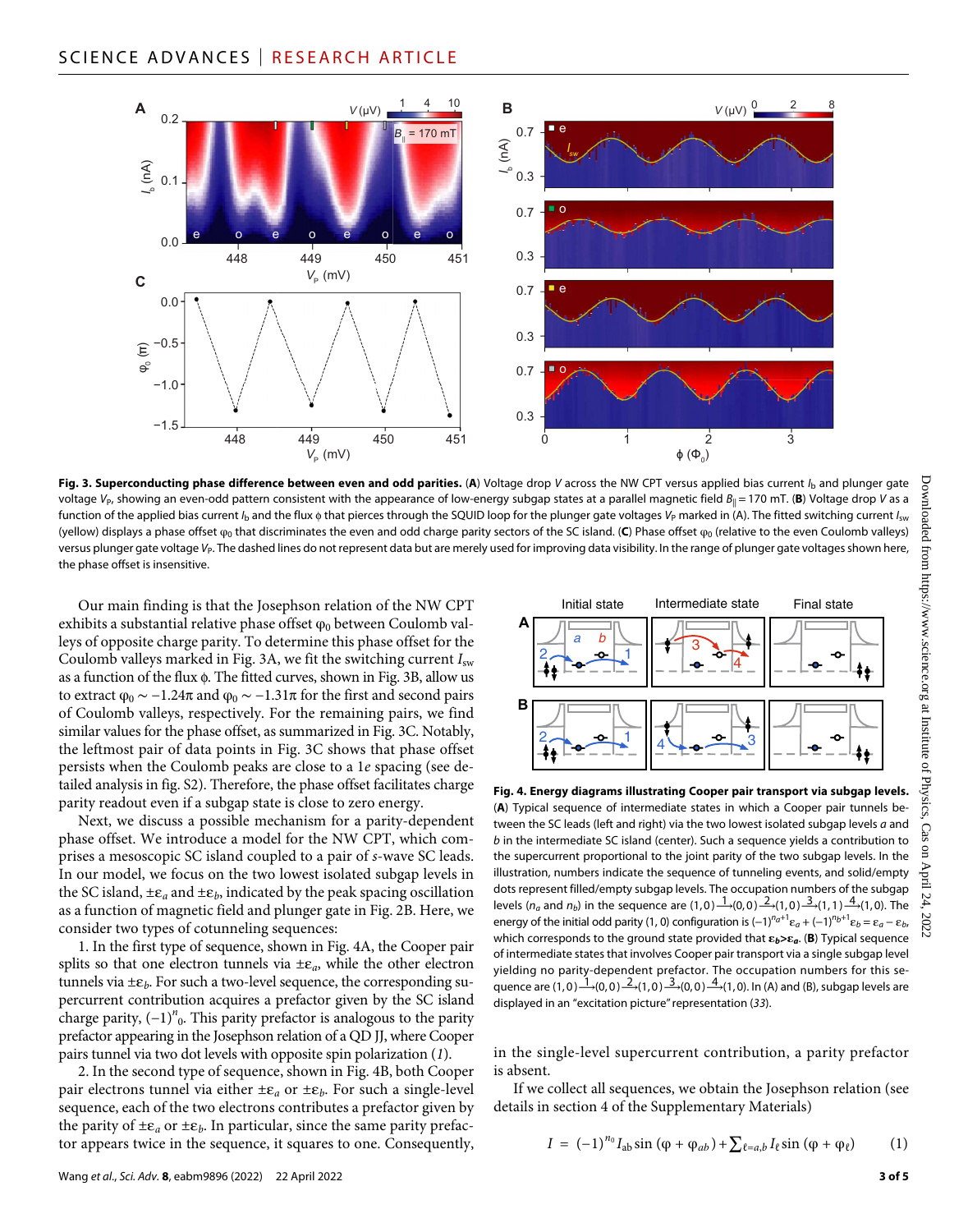

**Fig. 3. Superconducting phase difference between even and odd parities.** (**A**) Voltage drop *V* across the NW CPT versus applied bias current *I*b and plunger gate voltage *V*<sub>P</sub>, showing an even-odd pattern consistent with the appearance of low-energy subgap states at a parallel magnetic field  $B_{\parallel} = 170$  mT. (B) Voltage drop *V* as a function of the applied bias current *I*<sub>b</sub> and the flux  $\phi$  that pierces through the SQUID loop for the plunger gate voltages *V*<sub>P</sub> marked in (A). The fitted switching current *I<sub>sw</sub>* (yellow) displays a phase offset φ<sub>0</sub> that discriminates the even and odd charge parity sectors of the SC island. (C) Phase offset φ<sub>0</sub> (relative to the even Coulomb valleys) versus plunger gate voltage V<sub>P</sub>. The dashed lines do not represent data but are merely used for improving data visibility. In the range of plunger gate voltages shown here, the phase offset is insensitive.

Our main finding is that the Josephson relation of the NW CPT exhibits a substantial relative phase offset  $\varphi_0$  between Coulomb valleys of opposite charge parity. To determine this phase offset for the Coulomb valleys marked in Fig. 3A, we fit the switching current *I*sw as a function of the flux  $\phi$ . The fitted curves, shown in Fig. 3B, allow us to extract  $\varphi_0 \sim -1.24\pi$  and  $\varphi_0 \sim -1.31\pi$  for the first and second pairs of Coulomb valleys, respectively. For the remaining pairs, we find similar values for the phase offset, as summarized in Fig. 3C. Notably, the leftmost pair of data points in Fig. 3C shows that phase offset persists when the Coulomb peaks are close to a 1*e* spacing (see detailed analysis in fig. S2). Therefore, the phase offset facilitates charge parity readout even if a subgap state is close to zero energy.

Next, we discuss a possible mechanism for a parity-dependent phase offset. We introduce a model for the NW CPT, which comprises a mesoscopic SC island coupled to a pair of *s*-wave SC leads. In our model, we focus on the two lowest isolated subgap levels in the SC island,  $\pm \varepsilon_a$  and  $\pm \varepsilon_b$ , indicated by the peak spacing oscillation as a function of magnetic field and plunger gate in Fig. 2B. Here, we consider two types of cotunneling sequences:

1. In the first type of sequence, shown in Fig. 4A, the Cooper pair splits so that one electron tunnels via  $\pm \varepsilon_a$ , while the other electron tunnels via  $\pm \varepsilon_b$ . For such a two-level sequence, the corresponding supercurrent contribution acquires a prefactor given by the SC island charge parity, (−1)*<sup>n</sup>* 0. This parity prefactor is analogous to the parity prefactor appearing in the Josephson relation of a QD JJ, where Cooper pairs tunnel via two dot levels with opposite spin polarization (*1*).

2. In the second type of sequence, shown in Fig. 4B, both Cooper pair electrons tunnel via either  $\pm \varepsilon_a$  or  $\pm \varepsilon_b$ . For such a single-level sequence, each of the two electrons contributes a prefactor given by the parity of  $\pm \varepsilon_a$  or  $\pm \varepsilon_b$ . In particular, since the same parity prefactor appears twice in the sequence, it squares to one. Consequently,



**Fig. 4. Energy diagrams illustrating Cooper pair transport via subgap levels.** (**A**) Typical sequence of intermediate states in which a Cooper pair tunnels between the SC leads (left and right) via the two lowest isolated subgap levels *a* and *b* in the intermediate SC island (center). Such a sequence yields a contribution to the supercurrent proportional to the joint parity of the two subgap levels. In the illustration, numbers indicate the sequence of tunneling events, and solid/empty dots represent filled/empty subgap levels. The occupation numbers of the subgap levels ( $n_a$  and  $n_b$ ) in the sequence are (1,0)  $\frac{1}{2}(0,0) \frac{2}{3}(1,0) \frac{3}{3}(1,1) \frac{4}{3}(1,0)$ . The energy of the initial odd parity (1, 0) configuration is  $(-1)^{n}a^{+1}\varepsilon_a + (-1)^{n}b^{+1}\varepsilon_b = \varepsilon_a - \varepsilon_b$ which corresponds to the ground state provided that  $\varepsilon_b > \varepsilon_a$ . (B) Typical sequence of intermediate states that involves Cooper pair transport via a single subgap level yielding no parity-dependent prefactor. The occupation numbers for this sequence are  $(1,0) \rightarrow (0,0) \rightarrow (1,0) \rightarrow (0,0) \rightarrow (1,0)$ . In (A) and (B), subgap levels are displayed in an "excitation picture" representation (*33*).

in the single-level supercurrent contribution, a parity prefactor is absent.

If we collect all sequences, we obtain the Josephson relation (see details in section 4 of the Supplementary Materials)

$$
I = (-1)^{n_0} I_{ab} \sin (\varphi + \varphi_{ab}) + \sum_{\ell=a,b} I_{\ell} \sin (\varphi + \varphi_{\ell}) \tag{1}
$$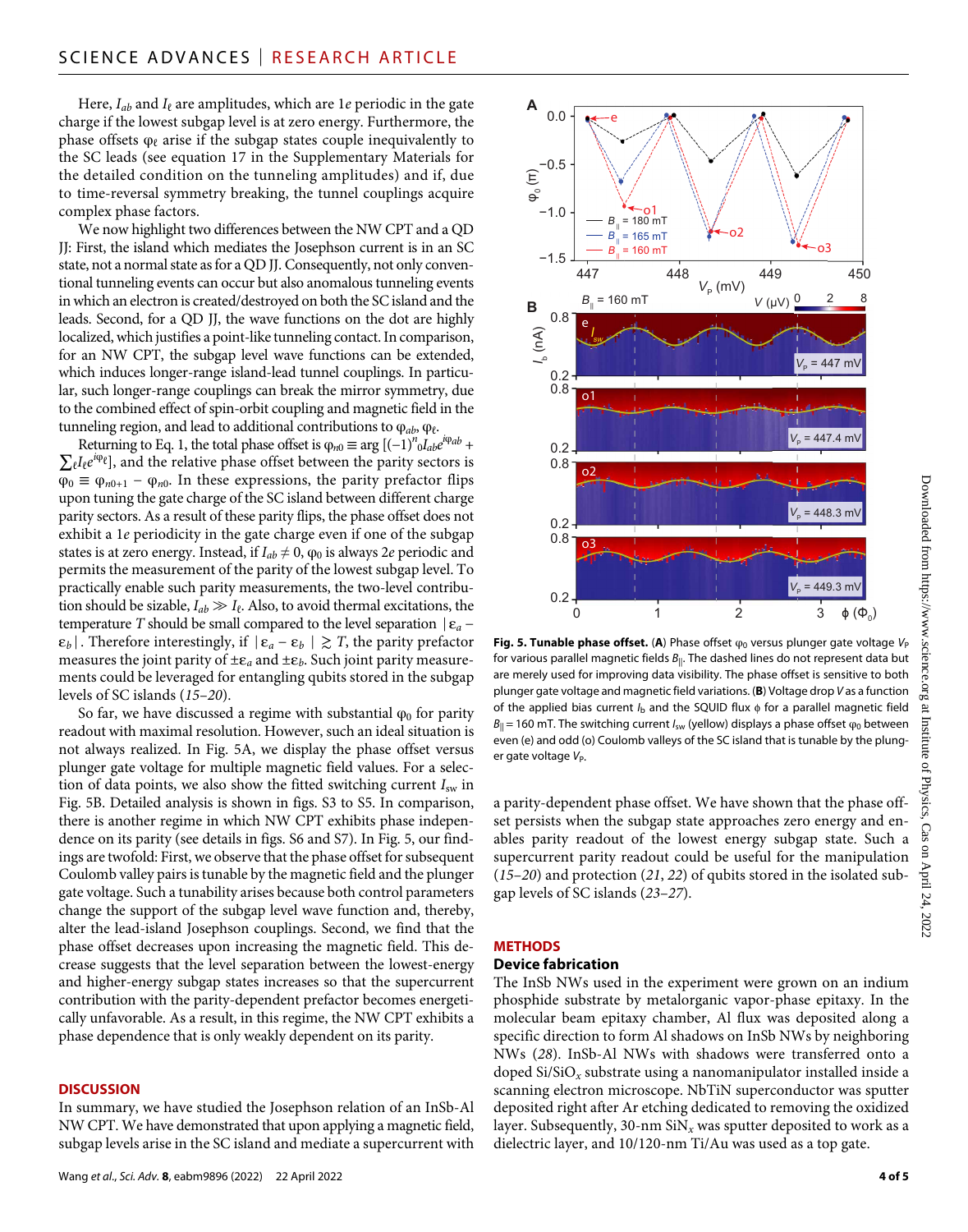Here,  $I_{ab}$  and  $I_{\ell}$  are amplitudes, which are 1*e* periodic in the gate charge if the lowest subgap level is at zero energy. Furthermore, the phase offsets  $\varphi_\ell$  arise if the subgap states couple inequivalently to the SC leads (see equation 17 in the Supplementary Materials for the detailed condition on the tunneling amplitudes) and if, due to time-reversal symmetry breaking, the tunnel couplings acquire complex phase factors.

We now highlight two differences between the NW CPT and a QD JJ: First, the island which mediates the Josephson current is in an SC state, not a normal state as for a QD JJ. Consequently, not only conventional tunneling events can occur but also anomalous tunneling events in which an electron is created/destroyed on both the SC island and the leads. Second, for a QD JJ, the wave functions on the dot are highly localized, which justifies a point-like tunneling contact. In comparison, for an NW CPT, the subgap level wave functions can be extended, which induces longer-range island-lead tunnel couplings. In particular, such longer-range couplings can break the mirror symmetry, due to the combined effect of spin-orbit coupling and magnetic field in the tunneling region, and lead to additional contributions to  $φ<sub>ab</sub>$ ,  $φ<sub>ε</sub>$ .

Returning to Eq. 1, the total phase offset is  $\varphi_{n0} \equiv \arg \left[ (-1)^n \partial_{ab} e^{i\varphi_{ab}} + \right]$  $\sum_{\ell} I_{\ell} e^{i\varphi_{\ell}}$ ], and the relative phase offset between the parity sectors is  $\varphi_0 \equiv \varphi_{n0+1} - \varphi_{n0}$ . In these expressions, the parity prefactor flips upon tuning the gate charge of the SC island between different charge parity sectors. As a result of these parity flips, the phase offset does not exhibit a 1*e* periodicity in the gate charge even if one of the subgap states is at zero energy. Instead, if  $I_{ab} \neq 0$ ,  $\varphi_0$  is always 2*e* periodic and permits the measurement of the parity of the lowest subgap level. To practically enable such parity measurements, the two-level contribution should be sizable,  $I_{ab} \gg I_{\ell}$ . Also, to avoid thermal excitations, the temperature *T* should be small compared to the level separation  $|\varepsilon_a \varepsilon_b$ |. Therefore interestingly, if  $|\varepsilon_a - \varepsilon_b| \gtrsim T$ , the parity prefactor measures the joint parity of  $\pm \varepsilon_a$  and  $\pm \varepsilon_b$ . Such joint parity measurements could be leveraged for entangling qubits stored in the subgap levels of SC islands (*15*–*20*).

So far, we have discussed a regime with substantial  $\varphi_0$  for parity readout with maximal resolution. However, such an ideal situation is not always realized. In Fig. 5A, we display the phase offset versus plunger gate voltage for multiple magnetic field values. For a selection of data points, we also show the fitted switching current *I*sw in Fig. 5B. Detailed analysis is shown in figs. S3 to S5. In comparison, there is another regime in which NW CPT exhibits phase independence on its parity (see details in figs. S6 and S7). In Fig. 5, our findings are twofold: First, we observe that the phase offset for subsequent Coulomb valley pairs is tunable by the magnetic field and the plunger gate voltage. Such a tunability arises because both control parameters change the support of the subgap level wave function and, thereby, alter the lead-island Josephson couplings. Second, we find that the phase offset decreases upon increasing the magnetic field. This decrease suggests that the level separation between the lowest-energy and higher-energy subgap states increases so that the supercurrent contribution with the parity-dependent prefactor becomes energetically unfavorable. As a result, in this regime, the NW CPT exhibits a phase dependence that is only weakly dependent on its parity.

#### **DISCUSSION**

In summary, we have studied the Josephson relation of an InSb-Al NW CPT. We have demonstrated that upon applying a magnetic field, subgap levels arise in the SC island and mediate a supercurrent with



**Fig. 5. Tunable phase offset.** (A) Phase offset  $φ_0$  versus plunger gate voltage  $V_P$ for various parallel magnetic fields *B*||. The dashed lines do not represent data but are merely used for improving data visibility. The phase offset is sensitive to both plunger gate voltage and magnetic field variations. (**B**) Voltage drop *V* as a function of the applied bias current *I*<sub>b</sub> and the SQUID flux  $\phi$  for a parallel magnetic field  $B_{\parallel}$  = 160 mT. The switching current *I*<sub>sw</sub> (yellow) displays a phase offset  $\varphi_0$  between even (e) and odd (o) Coulomb valleys of the SC island that is tunable by the plunger gate voltage V<sub>P</sub>.

a parity-dependent phase offset. We have shown that the phase offset persists when the subgap state approaches zero energy and enables parity readout of the lowest energy subgap state. Such a supercurrent parity readout could be useful for the manipulation (*15*–*20*) and protection (*21*, *22*) of qubits stored in the isolated subgap levels of SC islands (*23*–*27*).

#### **METHODS**

#### **Device fabrication**

The InSb NWs used in the experiment were grown on an indium phosphide substrate by metalorganic vapor-phase epitaxy. In the molecular beam epitaxy chamber, Al flux was deposited along a specific direction to form Al shadows on InSb NWs by neighboring NWs (*28*). InSb-Al NWs with shadows were transferred onto a doped Si/SiO*x* substrate using a nanomanipulator installed inside a scanning electron microscope. NbTiN superconductor was sputter deposited right after Ar etching dedicated to removing the oxidized layer. Subsequently, 30-nm SiN*x* was sputter deposited to work as a dielectric layer, and 10/120-nm Ti/Au was used as a top gate.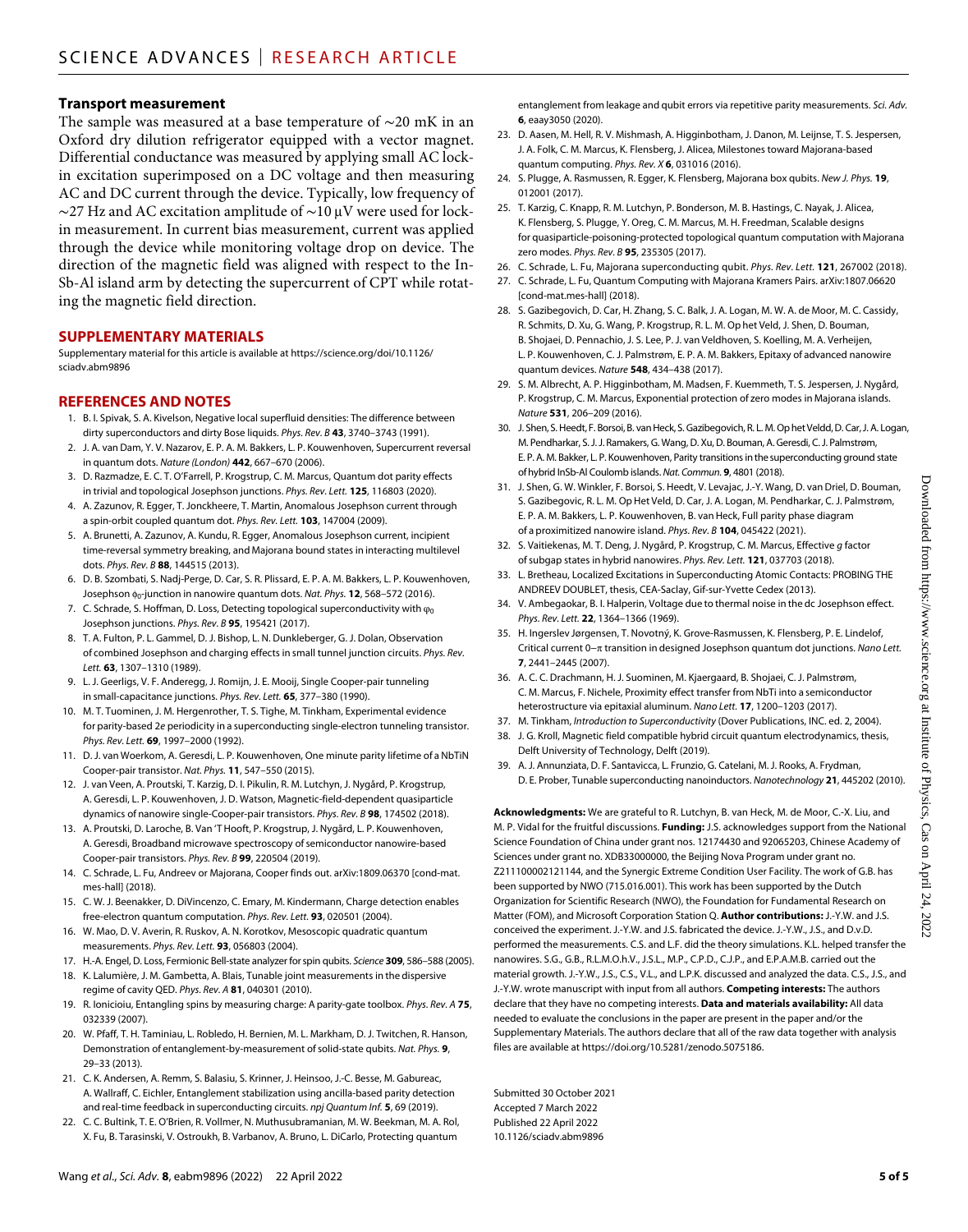#### **Transport measurement**

The sample was measured at a base temperature of ∼20 mK in an Oxford dry dilution refrigerator equipped with a vector magnet. Differential conductance was measured by applying small AC lockin excitation superimposed on a DC voltage and then measuring AC and DC current through the device. Typically, low frequency of  $\sim$ 27 Hz and AC excitation amplitude of  $\sim$ 10 µV were used for lockin measurement. In current bias measurement, current was applied through the device while monitoring voltage drop on device. The direction of the magnetic field was aligned with respect to the In-Sb-Al island arm by detecting the supercurrent of CPT while rotating the magnetic field direction.

#### **SUPPLEMENTARY MATERIALS**

Supplementary material for this article is available at [https://science.org/doi/10.1126/](https://science.org/doi/10.1126/sciadv.abm9896) [sciadv.abm9896](https://science.org/doi/10.1126/sciadv.abm9896)

#### **REFERENCES AND NOTES**

- 1. B. I. Spivak, S. A. Kivelson, Negative local superfluid densities: The difference between dirty superconductors and dirty Bose liquids. *Phys. Rev. B* **43**, 3740–3743 (1991).
- 2. J. A. van Dam, Y. V. Nazarov, E. P. A. M. Bakkers, L. P. Kouwenhoven, Supercurrent reversal in quantum dots. *Nature (London)* **442**, 667–670 (2006).
- 3. D. Razmadze, E. C. T. O'Farrell, P. Krogstrup, C. M. Marcus, Quantum dot parity effects in trivial and topological Josephson junctions. *Phys. Rev. Lett.* **125**, 116803 (2020).
- 4. A. Zazunov, R. Egger, T. Jonckheere, T. Martin, Anomalous Josephson current through a spin-orbit coupled quantum dot. *Phys. Rev. Lett.* **103**, 147004 (2009).
- 5. A. Brunetti, A. Zazunov, A. Kundu, R. Egger, Anomalous Josephson current, incipient time-reversal symmetry breaking, and Majorana bound states in interacting multilevel dots. *Phys. Rev. B* **88**, 144515 (2013).
- 6. D. B. Szombati, S. Nadj-Perge, D. Car, S. R. Plissard, E. P. A. M. Bakkers, L. P. Kouwenhoven, Josephson  $\phi_0$ -junction in nanowire quantum dots. *Nat. Phys.* **12**, 568–572 (2016).
- 7. C. Schrade, S. Hoffman, D. Loss, Detecting topological superconductivity with φ<sub>0</sub> Josephson junctions. *Phys. Rev. B* **95**, 195421 (2017).
- 8. T. A. Fulton, P. L. Gammel, D. J. Bishop, L. N. Dunkleberger, G. J. Dolan, Observation of combined Josephson and charging effects in small tunnel junction circuits. *Phys. Rev. Lett.* **63**, 1307–1310 (1989).
- 9. L. J. Geerligs, V. F. Anderegg, J. Romijn, J. E. Mooij, Single Cooper-pair tunneling in small-capacitance junctions. *Phys. Rev. Lett.* **65**, 377–380 (1990).
- 10. M. T. Tuominen, J. M. Hergenrother, T. S. Tighe, M. Tinkham, Experimental evidence for parity-based 2*e* periodicity in a superconducting single-electron tunneling transistor. *Phys. Rev. Lett.* **69**, 1997–2000 (1992).
- 11. D. J. van Woerkom, A. Geresdi, L. P. Kouwenhoven, One minute parity lifetime of a NbTiN Cooper-pair transistor. *Nat. Phys.* **11**, 547–550 (2015).
- 12. J. van Veen, A. Proutski, T. Karzig, D. I. Pikulin, R. M. Lutchyn, J. Nygård, P. Krogstrup, A. Geresdi, L. P. Kouwenhoven, J. D. Watson, Magnetic-field-dependent quasiparticle dynamics of nanowire single-Cooper-pair transistors. *Phys. Rev. B* **98**, 174502 (2018).
- 13. A. Proutski, D. Laroche, B. Van 'T Hooft, P. Krogstrup, J. Nygård, L. P. Kouwenhoven, A. Geresdi, Broadband microwave spectroscopy ofsemiconductor nanowire-based Cooper-pair transistors. *Phys. Rev. B* **99**, 220504 (2019).
- 14. C. Schrade, L. Fu, Andreev or Majorana, Cooper finds out. arXiv[:1809.06370](https://arxiv.org/abs/1809.06370) [cond-mat. mes-hall] (2018).
- 15. C. W. J. Beenakker, D. DiVincenzo, C. Emary, M. Kindermann, Charge detection enables free-electron quantum computation. *Phys. Rev. Lett.* **93**, 020501 (2004).
- 16. W. Mao, D. V. Averin, R. Ruskov, A. N. Korotkov, Mesoscopic quadratic quantum measurements. *Phys. Rev. Lett.* **93**, 056803 (2004).
- 17. H.-A. Engel, D. Loss, Fermionic Bell-state analyzer forspin qubits. *Science* **309**, 586–588 (2005).
- 18. K. Lalumière, J. M. Gambetta, A. Blais, Tunable joint measurements in the dispersive regime of cavity QED. *Phys. Rev. A* **81**, 040301 (2010).
- 19. R. Ionicioiu, Entangling spins by measuring charge: A parity-gate toolbox. *Phys. Rev. A* **75**, 032339 (2007).
- 20. W. Pfaff, T. H. Taminiau, L. Robledo, H. Bernien, M. L. Markham, D. J. Twitchen, R. Hanson, Demonstration of entanglement-by-measurement ofsolid-state qubits. *Nat. Phys.* **9**, 29–33 (2013).
- 21. C. K. Andersen, A. Remm, S. Balasiu, S. Krinner, J. Heinsoo, J.-C. Besse, M. Gabureac, A. Wallraff, C. Eichler, Entanglement stabilization using ancilla-based parity detection and real-time feedback in superconducting circuits. *npj Quantum Inf.* **5**, 69 (2019).
- 22. C. C. Bultink, T. E. O'Brien, R. Vollmer, N. Muthusubramanian, M. W. Beekman, M. A. Rol, X. Fu, B. Tarasinski, V. Ostroukh, B. Varbanov, A. Bruno, L. DiCarlo, Protecting quantum

entanglement from leakage and qubit errors via repetitive parity measurements. *Sci. Adv.* **6**, eaay3050 (2020).

- 23. D. Aasen, M. Hell, R. V. Mishmash, A. Higginbotham, J. Danon, M. Leijnse, T. S. Jespersen, J. A. Folk, C. M. Marcus, K. Flensberg, J. Alicea, Milestones toward Majorana-based quantum computing. *Phys. Rev. X* **6**, 031016 (2016).
- 24. S. Plugge, A. Rasmussen, R. Egger, K. Flensberg, Majorana box qubits. *New J. Phys.* **19**, 012001 (2017).
- 25. T. Karzig, C. Knapp, R. M. Lutchyn, P. Bonderson, M. B. Hastings, C. Nayak, J. Alicea, K. Flensberg, S. Plugge, Y. Oreg, C. M. Marcus, M. H. Freedman, Scalable designs for quasiparticle-poisoning-protected topological quantum computation with Majorana zero modes. *Phys. Rev. B* **95**, 235305 (2017).
- 26. C. Schrade, L. Fu, Majorana superconducting qubit. *Phys. Rev. Lett.* **121**, 267002 (2018).
- 27. C. Schrade, L. Fu, Quantum Computing with Majorana Kramers Pairs. arXiv[:1807.06620](https://arxiv.org/abs/1807.06620)  [cond-mat.mes-hall] (2018).
- 28. S. Gazibegovich, D. Car, H. Zhang, S. C. Balk, J. A. Logan, M. W. A. de Moor, M. C. Cassidy, R. Schmits, D. Xu, G. Wang, P. Krogstrup, R. L. M. Op het Veld, J. Shen, D. Bouman, B. Shojaei, D. Pennachio, J. S. Lee, P. J. van Veldhoven, S. Koelling, M. A. Verheijen, L. P. Kouwenhoven, C. J. Palmstrøm, E. P. A. M. Bakkers, Epitaxy of advanced nanowire quantum devices. *Nature* **548**, 434–438 (2017).
- 29. S. M. Albrecht, A. P. Higginbotham, M. Madsen, F. Kuemmeth, T. S. Jespersen, J. Nygård, P. Krogstrup, C. M. Marcus, Exponential protection of zero modes in Majorana islands. *Nature* **531**, 206–209 (2016).
- 30. J. Shen, S. Heedt, F. Borsoi, B. van Heck, S. Gazibegovich, R. L. M. Op het Veldd, D. Car, J. A. Logan, M. Pendharkar, S.J.J. Ramakers, G. Wang, D. Xu, D. Bouman, A.Geresdi, C.J. Palmstrøm, E. P. A. M. Bakker, L. P. Kouwenhoven, Parity transitions inthesuperconducting ground state ofhybrid InSb-Al Coulomb islands. *Nat. Commun.* **9**, 4801 (2018).
- 31. J. Shen, G. W. Winkler, F. Borsoi, S. Heedt, V. Levajac, J.-Y. Wang, D. vanDriel, D. Bouman, S. Gazibegovic, R. L. M. Op Het Veld, D. Car, J. A. Logan, M. Pendharkar, C. J. Palmstrøm, E. P. A. M. Bakkers, L. P. Kouwenhoven, B. van Heck, Full parity phase diagram of a proximitized nanowire island. *Phys. Rev. B* **104**, 045422 (2021).
- 32. S. Vaitiekenas, M. T. Deng, J. Nygård, P. Krogstrup, C. M. Marcus, Effective *g* factor ofsubgap states in hybrid nanowires. *Phys. Rev. Lett.* **121**, 037703 (2018).
- 33. L. Bretheau, Localized Excitations in Superconducting Atomic Contacts: PROBING THE ANDREEV DOUBLET, thesis, CEA-Saclay, Gif-sur-Yvette Cedex (2013).
- 34. V. Ambegaokar, B. I. Halperin, Voltage due to thermal noise in the dc Josephson effect. *Phys. Rev. Lett.* **22**, 1364–1366 (1969).
- 35. H. Ingerslev Jørgensen, T. Novotný, K. Grove-Rasmussen, K. Flensberg, P. E. Lindelof, Critical current 0− transition in designed Josephson quantum dot junctions. *Nano Lett.* **7**, 2441–2445 (2007).
- 36. A. C. C. Drachmann, H. J. Suominen, M. Kjaergaard, B. Shojaei, C. J. Palmstrøm, C. M. Marcus, F. Nichele, Proximity effect transfer from NbTi into a semiconductor heterostructure via epitaxial aluminum. *Nano Lett.* **17**, 1200–1203 (2017).
- 37. M. Tinkham, *Introduction to Superconductivity* (Dover Publications, INC. ed. 2, 2004).
- 38. J. G. Kroll, Magnetic field compatible hybrid circuit quantum electrodynamics, thesis, Delft University of Technology, Delft (2019).
- 39. A. J. Annunziata, D. F. Santavicca, L. Frunzio, G. Catelani, M. J. Rooks, A. Frydman, D. E. Prober, Tunable superconducting nanoinductors. *Nanotechnology* **21**, 445202 (2010).

**Acknowledgments:** We are grateful to R. Lutchyn, B. van Heck, M. de Moor, C.-X. Liu, and M. P. Vidal for the fruitful discussions. **Funding:** J.S. acknowledges support from the National Science Foundation of China under grant nos. 12174430 and 92065203, Chinese Academy of Sciences under grant no. XDB33000000, the Beijing Nova Program under grant no. Z211100002121144, and the Synergic Extreme Condition User Facility. The work of G.B. has been supported by NWO (715.016.001). This work has been supported by the Dutch Organization for Scientific Research (NWO), the Foundation for Fundamental Research on Matter (FOM), and Microsoft Corporation Station Q. **Author contributions:** J.-Y.W. and J.S. conceived the experiment. J.-Y.W. and J.S. fabricated the device. J.-Y.W., J.S., and D.v.D. performed the measurements. C.S. and L.F. did the theory simulations. K.L. helped transfer the nanowires. S.G., G.B., R.L.M.O.h.V., J.S.L., M.P., C.P.D., C.J.P., and E.P.A.M.B. carried out the material growth. J.-Y.W., J.S., C.S., V.L., and L.P.K. discussed and analyzed the data. C.S., J.S., and J.-Y.W. wrote manuscript with input from all authors. **Competing interests:** The authors declare that they have no competing interests. **Data and materials availability:** All data needed to evaluate the conclusions in the paper are present in the paper and/or the Supplementary Materials. The authors declare that all of the raw data together with analysis files are available at [https://doi.org/10.5281/zenodo.5075186.](https://doi.org/10.5281/zenodo.5075186)

Submitted 30 October 2021 Accepted 7 March 2022 Published 22 April 2022 10.1126/sciadv.abm9896